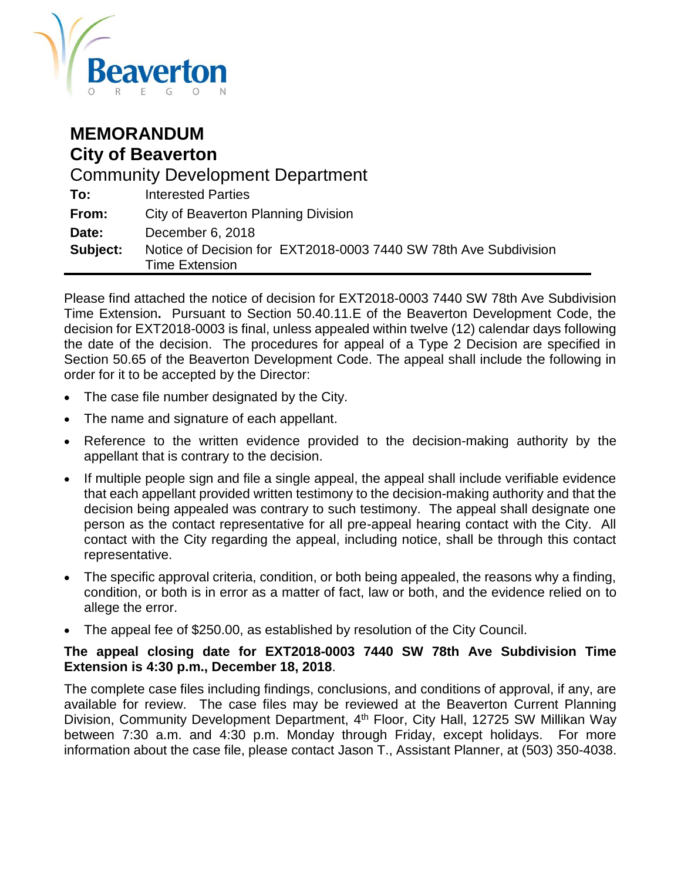

| <b>MEMORANDUM</b><br><b>City of Beaverton</b> |                                                                                           |  |  |  |
|-----------------------------------------------|-------------------------------------------------------------------------------------------|--|--|--|
| <b>Community Development Department</b>       |                                                                                           |  |  |  |
| To:                                           | <b>Interested Parties</b>                                                                 |  |  |  |
| From:                                         | City of Beaverton Planning Division                                                       |  |  |  |
| Date:                                         | December 6, 2018                                                                          |  |  |  |
| Subject:                                      | Notice of Decision for EXT2018-0003 7440 SW 78th Ave Subdivision<br><b>Time Extension</b> |  |  |  |

Please find attached the notice of decision for EXT2018-0003 7440 SW 78th Ave Subdivision Time Extension**.** Pursuant to Section 50.40.11.E of the Beaverton Development Code, the decision for EXT2018-0003 is final, unless appealed within twelve (12) calendar days following the date of the decision. The procedures for appeal of a Type 2 Decision are specified in Section 50.65 of the Beaverton Development Code. The appeal shall include the following in order for it to be accepted by the Director:

- The case file number designated by the City.
- The name and signature of each appellant.
- Reference to the written evidence provided to the decision-making authority by the appellant that is contrary to the decision.
- If multiple people sign and file a single appeal, the appeal shall include verifiable evidence that each appellant provided written testimony to the decision-making authority and that the decision being appealed was contrary to such testimony. The appeal shall designate one person as the contact representative for all pre-appeal hearing contact with the City. All contact with the City regarding the appeal, including notice, shall be through this contact representative.
- The specific approval criteria, condition, or both being appealed, the reasons why a finding, condition, or both is in error as a matter of fact, law or both, and the evidence relied on to allege the error.
- The appeal fee of \$250.00, as established by resolution of the City Council.

#### **The appeal closing date for EXT2018-0003 7440 SW 78th Ave Subdivision Time Extension is 4:30 p.m., December 18, 2018**.

The complete case files including findings, conclusions, and conditions of approval, if any, are available for review. The case files may be reviewed at the Beaverton Current Planning Division, Community Development Department, 4<sup>th</sup> Floor, City Hall, 12725 SW Millikan Way between 7:30 a.m. and 4:30 p.m. Monday through Friday, except holidays. For more information about the case file, please contact Jason T., Assistant Planner, at (503) 350-4038.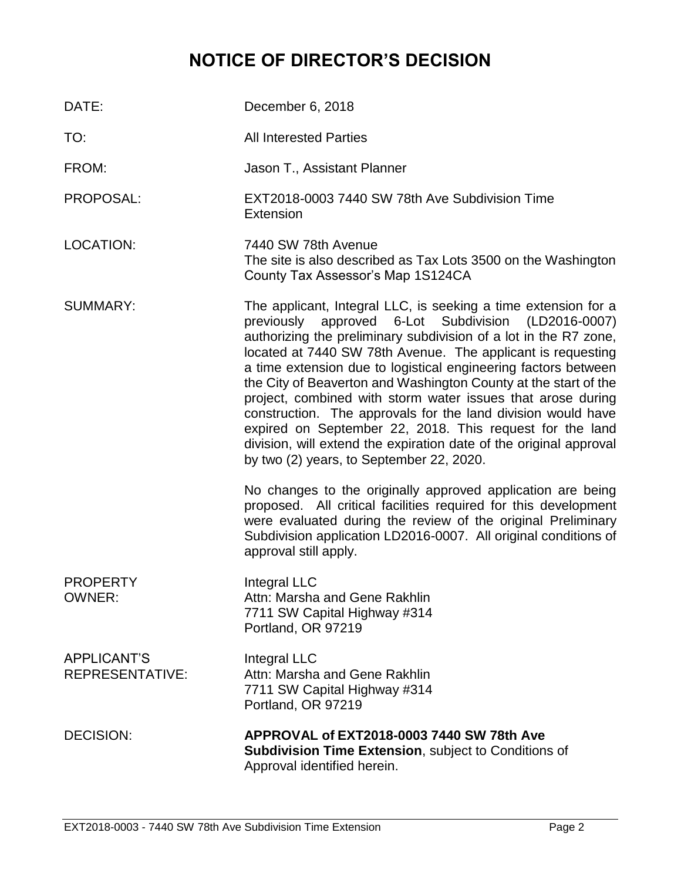# **NOTICE OF DIRECTOR'S DECISION**

| DATE:                                        | December 6, 2018                                                                                                                                                                                                                                                                                                                                                                                                                                                                                                                                                                                                                                                                                                                                                             |
|----------------------------------------------|------------------------------------------------------------------------------------------------------------------------------------------------------------------------------------------------------------------------------------------------------------------------------------------------------------------------------------------------------------------------------------------------------------------------------------------------------------------------------------------------------------------------------------------------------------------------------------------------------------------------------------------------------------------------------------------------------------------------------------------------------------------------------|
| TO:                                          | <b>All Interested Parties</b>                                                                                                                                                                                                                                                                                                                                                                                                                                                                                                                                                                                                                                                                                                                                                |
| FROM:                                        | Jason T., Assistant Planner                                                                                                                                                                                                                                                                                                                                                                                                                                                                                                                                                                                                                                                                                                                                                  |
| PROPOSAL:                                    | EXT2018-0003 7440 SW 78th Ave Subdivision Time<br>Extension                                                                                                                                                                                                                                                                                                                                                                                                                                                                                                                                                                                                                                                                                                                  |
| <b>LOCATION:</b>                             | 7440 SW 78th Avenue<br>The site is also described as Tax Lots 3500 on the Washington<br>County Tax Assessor's Map 1S124CA                                                                                                                                                                                                                                                                                                                                                                                                                                                                                                                                                                                                                                                    |
| <b>SUMMARY:</b>                              | The applicant, Integral LLC, is seeking a time extension for a<br>approved 6-Lot Subdivision (LD2016-0007)<br>previously<br>authorizing the preliminary subdivision of a lot in the R7 zone,<br>located at 7440 SW 78th Avenue. The applicant is requesting<br>a time extension due to logistical engineering factors between<br>the City of Beaverton and Washington County at the start of the<br>project, combined with storm water issues that arose during<br>construction. The approvals for the land division would have<br>expired on September 22, 2018. This request for the land<br>division, will extend the expiration date of the original approval<br>by two (2) years, to September 22, 2020.<br>No changes to the originally approved application are being |
|                                              | proposed. All critical facilities required for this development<br>were evaluated during the review of the original Preliminary<br>Subdivision application LD2016-0007. All original conditions of<br>approval still apply.                                                                                                                                                                                                                                                                                                                                                                                                                                                                                                                                                  |
| <b>PROPERTY</b><br><b>OWNER:</b>             | Integral LLC<br>Attn: Marsha and Gene Rakhlin<br>7711 SW Capital Highway #314<br>Portland, OR 97219                                                                                                                                                                                                                                                                                                                                                                                                                                                                                                                                                                                                                                                                          |
| <b>APPLICANT'S</b><br><b>REPRESENTATIVE:</b> | Integral LLC<br>Attn: Marsha and Gene Rakhlin<br>7711 SW Capital Highway #314<br>Portland, OR 97219                                                                                                                                                                                                                                                                                                                                                                                                                                                                                                                                                                                                                                                                          |
| <b>DECISION:</b>                             | APPROVAL of EXT2018-0003 7440 SW 78th Ave<br><b>Subdivision Time Extension, subject to Conditions of</b><br>Approval identified herein.                                                                                                                                                                                                                                                                                                                                                                                                                                                                                                                                                                                                                                      |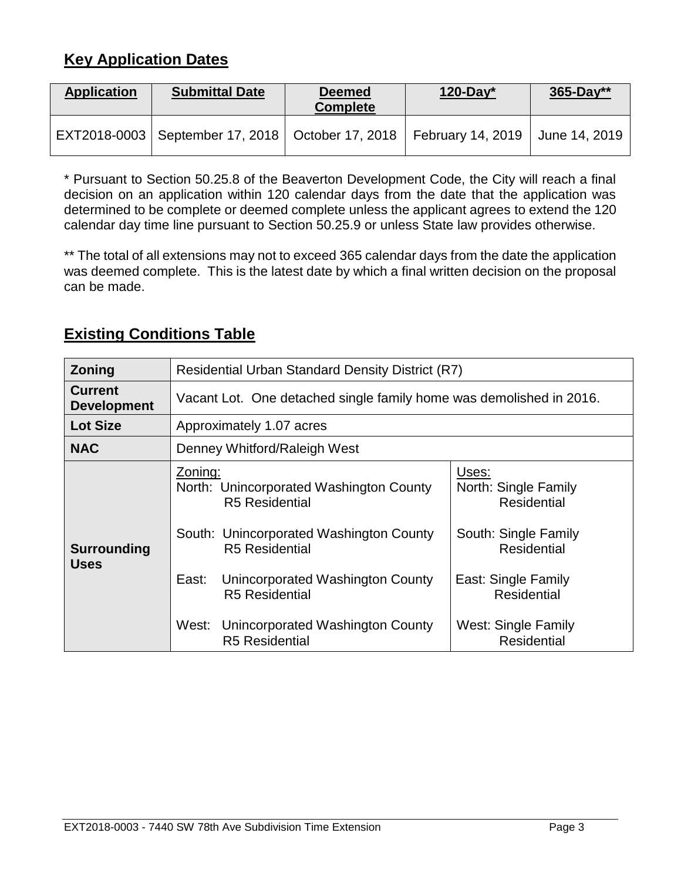# **Key Application Dates**

| <b>Application</b> | <b>Submittal Date</b>                                                    | <b>Deemed</b><br><b>Complete</b> | $120$ -Day* | $365 - Day**$ |
|--------------------|--------------------------------------------------------------------------|----------------------------------|-------------|---------------|
|                    | EXT2018-0003   September 17, 2018   October 17, 2018   February 14, 2019 |                                  |             | June 14, 2019 |

\* Pursuant to Section 50.25.8 of the Beaverton Development Code, the City will reach a final decision on an application within 120 calendar days from the date that the application was determined to be complete or deemed complete unless the applicant agrees to extend the 120 calendar day time line pursuant to Section 50.25.9 or unless State law provides otherwise.

\*\* The total of all extensions may not to exceed 365 calendar days from the date the application was deemed complete. This is the latest date by which a final written decision on the proposal can be made.

| <b>Zoning</b>                        | <b>Residential Urban Standard Density District (R7)</b>                                                                                                                                                                                                                                     |                                                                                                                                                                                             |  |  |
|--------------------------------------|---------------------------------------------------------------------------------------------------------------------------------------------------------------------------------------------------------------------------------------------------------------------------------------------|---------------------------------------------------------------------------------------------------------------------------------------------------------------------------------------------|--|--|
| <b>Current</b><br><b>Development</b> | Vacant Lot. One detached single family home was demolished in 2016.                                                                                                                                                                                                                         |                                                                                                                                                                                             |  |  |
| <b>Lot Size</b>                      | Approximately 1.07 acres                                                                                                                                                                                                                                                                    |                                                                                                                                                                                             |  |  |
| <b>NAC</b>                           | Denney Whitford/Raleigh West                                                                                                                                                                                                                                                                |                                                                                                                                                                                             |  |  |
| <b>Surrounding</b><br><b>Uses</b>    | Zoning:<br>North: Unincorporated Washington County<br><b>R5</b> Residential<br>South: Unincorporated Washington County<br><b>R5</b> Residential<br>Unincorporated Washington County<br>East:<br><b>R5</b> Residential<br>Unincorporated Washington County<br>West:<br><b>R5 Residential</b> | Uses:<br>North: Single Family<br><b>Residential</b><br>South: Single Family<br><b>Residential</b><br>East: Single Family<br><b>Residential</b><br>West: Single Family<br><b>Residential</b> |  |  |

# **Existing Conditions Table**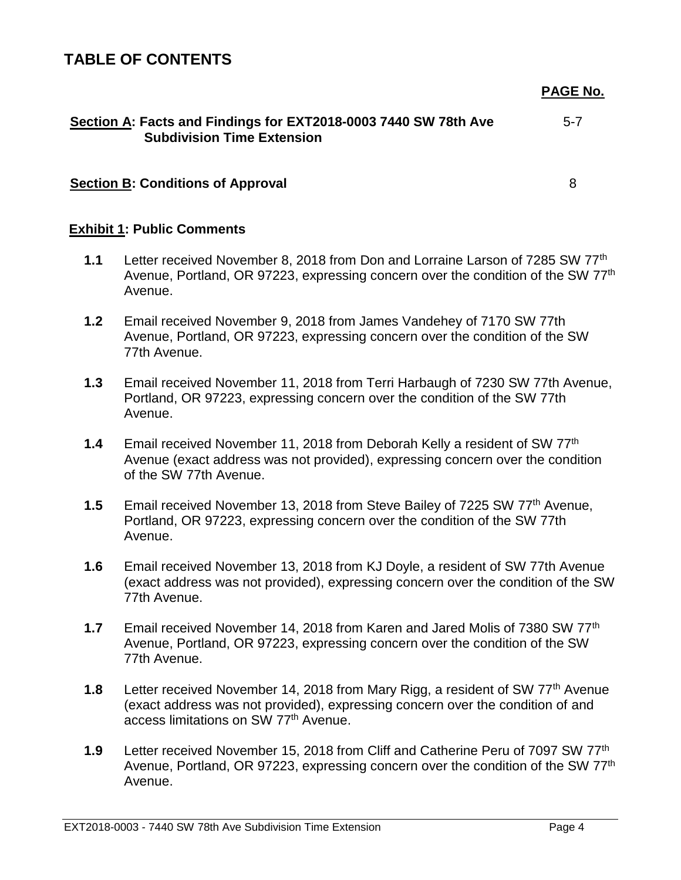### **TABLE OF CONTENTS**

**PAGE No.**

| Section A: Facts and Findings for EXT2018-0003 7440 SW 78th Ave | $5 - 7$ |
|-----------------------------------------------------------------|---------|
| <b>Subdivision Time Extension</b>                               |         |

#### **Section B: Conditions of Approval**

8

#### **Exhibit 1: Public Comments**

- **1.1** Letter received November 8, 2018 from Don and Lorraine Larson of 7285 SW 77th Avenue, Portland, OR 97223, expressing concern over the condition of the SW 77<sup>th</sup> Avenue.
- **1.2** Email received November 9, 2018 from James Vandehey of 7170 SW 77th Avenue, Portland, OR 97223, expressing concern over the condition of the SW 77th Avenue.
- **1.3** Email received November 11, 2018 from Terri Harbaugh of 7230 SW 77th Avenue, Portland, OR 97223, expressing concern over the condition of the SW 77th Avenue.
- **1.4** Email received November 11, 2018 from Deborah Kelly a resident of SW 77th Avenue (exact address was not provided), expressing concern over the condition of the SW 77th Avenue.
- **1.5** Email received November 13, 2018 from Steve Bailey of 7225 SW 77th Avenue, Portland, OR 97223, expressing concern over the condition of the SW 77th Avenue.
- **1.6** Email received November 13, 2018 from KJ Doyle, a resident of SW 77th Avenue (exact address was not provided), expressing concern over the condition of the SW 77th Avenue.
- **1.7** Email received November 14, 2018 from Karen and Jared Molis of 7380 SW 77th Avenue, Portland, OR 97223, expressing concern over the condition of the SW 77th Avenue.
- **1.8** Letter received November 14, 2018 from Mary Rigg, a resident of SW 77<sup>th</sup> Avenue (exact address was not provided), expressing concern over the condition of and access limitations on SW 77th Avenue.
- **1.9** Letter received November 15, 2018 from Cliff and Catherine Peru of 7097 SW 77th Avenue, Portland, OR 97223, expressing concern over the condition of the SW 77<sup>th</sup> Avenue.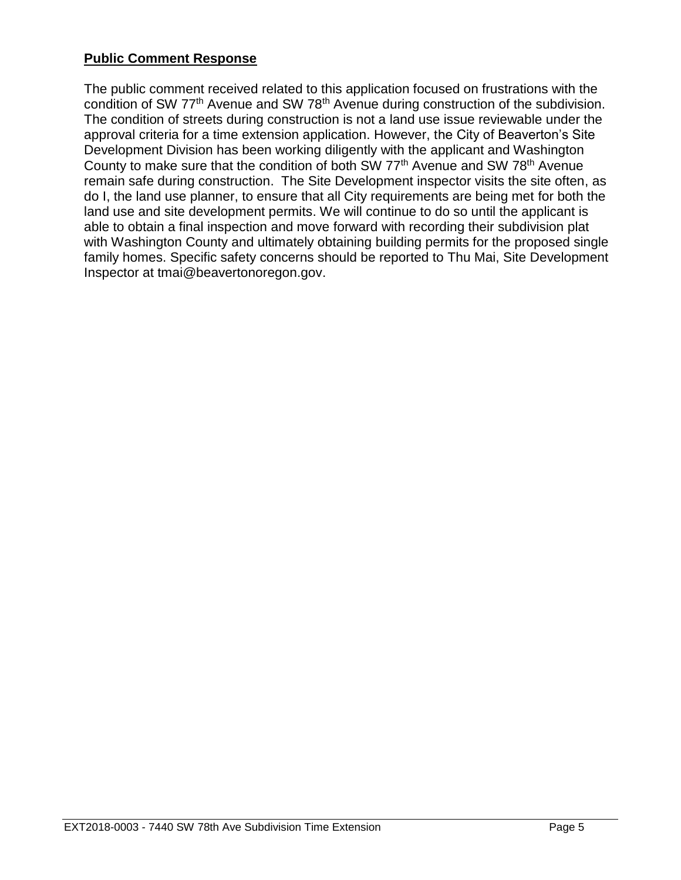### **Public Comment Response**

The public comment received related to this application focused on frustrations with the condition of SW 77<sup>th</sup> Avenue and SW 78<sup>th</sup> Avenue during construction of the subdivision. The condition of streets during construction is not a land use issue reviewable under the approval criteria for a time extension application. However, the City of Beaverton's Site Development Division has been working diligently with the applicant and Washington County to make sure that the condition of both SW 77<sup>th</sup> Avenue and SW 78<sup>th</sup> Avenue remain safe during construction. The Site Development inspector visits the site often, as do I, the land use planner, to ensure that all City requirements are being met for both the land use and site development permits. We will continue to do so until the applicant is able to obtain a final inspection and move forward with recording their subdivision plat with Washington County and ultimately obtaining building permits for the proposed single family homes. Specific safety concerns should be reported to Thu Mai, Site Development Inspector at tmai@beavertonoregon.gov.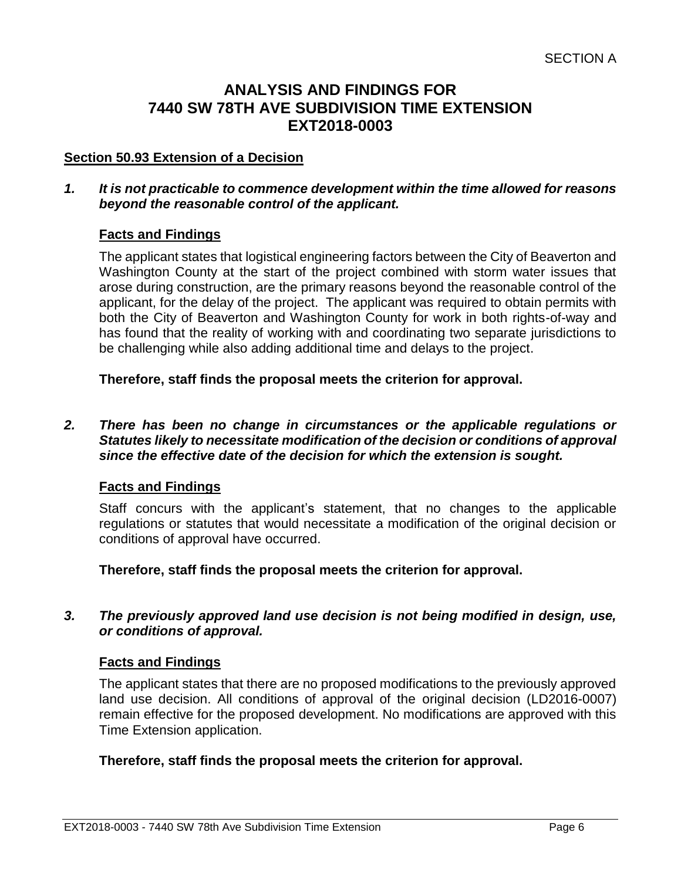### **ANALYSIS AND FINDINGS FOR 7440 SW 78TH AVE SUBDIVISION TIME EXTENSION EXT2018-0003**

#### **Section 50.93 Extension of a Decision**

#### *1. It is not practicable to commence development within the time allowed for reasons beyond the reasonable control of the applicant.*

#### **Facts and Findings**

The applicant states that logistical engineering factors between the City of Beaverton and Washington County at the start of the project combined with storm water issues that arose during construction, are the primary reasons beyond the reasonable control of the applicant, for the delay of the project. The applicant was required to obtain permits with both the City of Beaverton and Washington County for work in both rights-of-way and has found that the reality of working with and coordinating two separate jurisdictions to be challenging while also adding additional time and delays to the project.

**Therefore, staff finds the proposal meets the criterion for approval.**

#### *2. There has been no change in circumstances or the applicable regulations or Statutes likely to necessitate modification of the decision or conditions of approval since the effective date of the decision for which the extension is sought.*

#### **Facts and Findings**

Staff concurs with the applicant's statement, that no changes to the applicable regulations or statutes that would necessitate a modification of the original decision or conditions of approval have occurred.

**Therefore, staff finds the proposal meets the criterion for approval.**

#### *3. The previously approved land use decision is not being modified in design, use, or conditions of approval.*

#### **Facts and Findings**

The applicant states that there are no proposed modifications to the previously approved land use decision. All conditions of approval of the original decision (LD2016-0007) remain effective for the proposed development. No modifications are approved with this Time Extension application.

#### **Therefore, staff finds the proposal meets the criterion for approval.**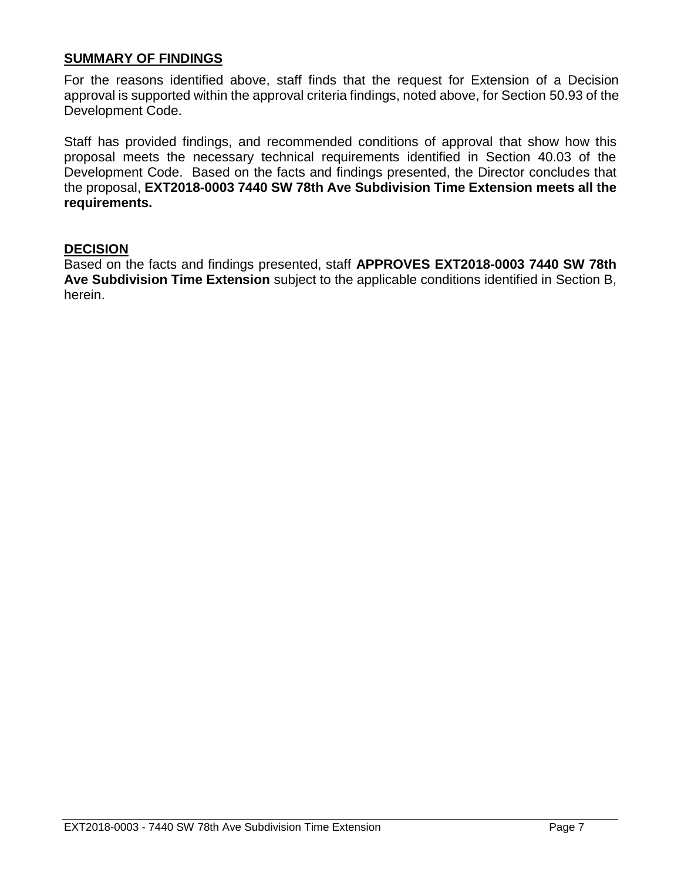#### **SUMMARY OF FINDINGS**

For the reasons identified above, staff finds that the request for Extension of a Decision approval is supported within the approval criteria findings, noted above, for Section 50.93 of the Development Code.

Staff has provided findings, and recommended conditions of approval that show how this proposal meets the necessary technical requirements identified in Section 40.03 of the Development Code. Based on the facts and findings presented, the Director concludes that the proposal, **EXT2018-0003 7440 SW 78th Ave Subdivision Time Extension meets all the requirements.**

#### **DECISION**

Based on the facts and findings presented, staff **APPROVES EXT2018-0003 7440 SW 78th Ave Subdivision Time Extension** subject to the applicable conditions identified in Section B, herein.